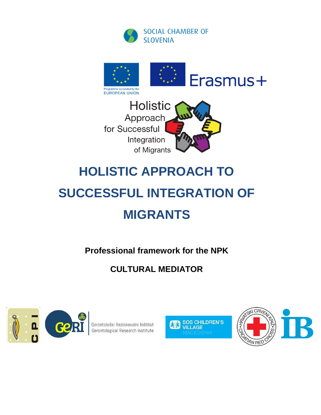





## **HOLISTIC APPROACH TO**

# **SUCCESSFUL INTEGRATION OF MIGRANTS**

**Professional framework for the NPK**

### **CULTURAL MEDIATOR**



Gerontološki Raziskovalni Inštitut<br>Gerontological Research Institute



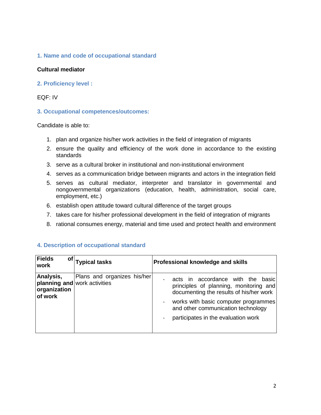#### **1. Name and code of occupational standard**

#### **Cultural mediator**

**2. Proficiency level :** 

#### EQF: IV

#### **3. Occupational competences/outcomes:**

Candidate is able to:

- 1. plan and organize his/her work activities in the field of integration of migrants
- 2. ensure the quality and efficiency of the work done in accordance to the existing standards
- 3. serve as a cultural broker in institutional and non-institutional environment
- 4. serves as a communication bridge between migrants and actors in the integration field
- 5. serves as cultural mediator, interpreter and translator in governmental and nongovernmental organizations (education, health, administration, social care, employment, etc.)
- 6. establish open attitude toward cultural difference of the target groups
- 7. takes care for his/her professional development in the field of integration of migrants
- 8. rational consumes energy, material and time used and protect health and environment

| Fields<br>Οf<br><b>work</b>                                                 | <b>Typical tasks</b>        | Professional knowledge and skills                                                                                                                                                                                                               |
|-----------------------------------------------------------------------------|-----------------------------|-------------------------------------------------------------------------------------------------------------------------------------------------------------------------------------------------------------------------------------------------|
| Analysis,<br><b>planning and</b> work activities<br>organization<br>of work | Plans and organizes his/her | acts in accordance with the<br>basicl<br>principles of planning, monitoring and<br>documenting the results of his/her work<br>works with basic computer programmes<br>and other communication technology<br>participates in the evaluation work |

#### **4. Description of occupational standard**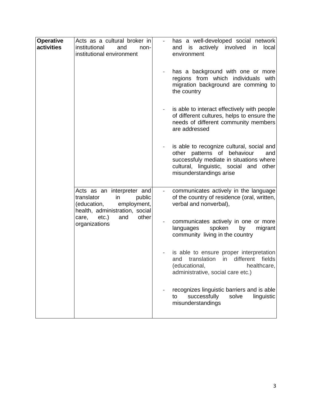| <b>Operative</b><br>activities | Acts as a cultural broker in<br>institutional<br>and<br>non-<br>institutional environment                                                                                   | has a well-developed social network<br>and is actively involved in<br>local<br>environment<br>has a background with one or more<br>regions from which individuals with<br>migration background are comming to<br>the country<br>is able to interact effectively with people<br>of different cultures, helps to ensure the<br>needs of different community members<br>are addressed |
|--------------------------------|-----------------------------------------------------------------------------------------------------------------------------------------------------------------------------|------------------------------------------------------------------------------------------------------------------------------------------------------------------------------------------------------------------------------------------------------------------------------------------------------------------------------------------------------------------------------------|
|                                |                                                                                                                                                                             | is able to recognize cultural, social and<br>other patterns of behaviour<br>and<br>successfuly mediate in situations where<br>cultural, linguistic, social and other<br>misunderstandings arise                                                                                                                                                                                    |
|                                | Acts as an interpreter and<br>translator<br>public<br>in<br>(education,<br>employment,<br>health, administration, social<br>etc.)<br>other<br>care,<br>and<br>organizations | communicates actively in the language<br>of the country of residence (oral, written,<br>verbal and nonverbal),                                                                                                                                                                                                                                                                     |
|                                |                                                                                                                                                                             | communicates actively in one or more<br>spoken<br>languages<br>by<br>migrant<br>community living in the country                                                                                                                                                                                                                                                                    |
|                                |                                                                                                                                                                             | is able to ensure proper interpretation<br>and translation in different fields<br>(educational,<br>healthcare,<br>administrative, social care etc.)                                                                                                                                                                                                                                |
|                                |                                                                                                                                                                             | recognizes linguistic barriers and is able<br>successfully<br>solve<br>linguistic<br>to<br>misunderstandings                                                                                                                                                                                                                                                                       |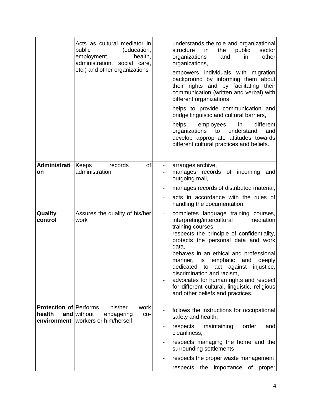|                                                        | Acts as cultural mediator in<br>public<br>(education,<br>employment,<br>health,<br>administration, social care,<br>etc.) and other organizations | understands the role and organizational<br>structure<br>the<br>public<br>in.<br>organizations<br>and<br>in<br>organizations,<br>empowers individuals with migration<br>background by informing them about<br>their rights and by facilitating their<br>communication (written and verbal) with<br>different organizations,<br>helps to provide communication and<br>bridge linguistic and cultural barriers,<br>employees<br>helps<br>in<br>organizations<br>to<br>understand<br>develop appropriate attitudes towards<br>different cultural practices and beliefs. | sector<br>other<br>different<br>and |
|--------------------------------------------------------|--------------------------------------------------------------------------------------------------------------------------------------------------|---------------------------------------------------------------------------------------------------------------------------------------------------------------------------------------------------------------------------------------------------------------------------------------------------------------------------------------------------------------------------------------------------------------------------------------------------------------------------------------------------------------------------------------------------------------------|-------------------------------------|
| Administrati<br>on                                     | of<br>records<br>Keeps<br>administration                                                                                                         | arranges archive,<br>manages records of incoming<br>outgoing mail,<br>manages records of distributed material,<br>acts in accordance with the rules of<br>handling the documentation.                                                                                                                                                                                                                                                                                                                                                                               | and                                 |
| Quality<br>control                                     | Assures the quality of his/her<br>work                                                                                                           | completes language training courses,<br>interpreting/intercultural<br>training courses<br>respects the principle of confidentiality,<br>protects the personal data and work<br>data,<br>behaves in an ethical and professional<br>manner, is emphatic<br>and<br>dedicated to act against<br>discrimination and racism,<br>advocates for human rights and respect<br>for different cultural, linguistic, religious<br>and other beliefs and practices.                                                                                                               | mediation<br>deeply<br>injustice,   |
| <b>Protection of Performs</b><br>health<br>environment | his/her<br>work<br>and without<br>endagering<br>CO-<br>workers or him/herself                                                                    | follows the instructions for occupational<br>safety and health,<br>respects<br>maintaining<br>order<br>cleanliness,<br>respects managing the home and the<br>surrounding settlements<br>respects the proper waste management<br>the<br>importance<br>Οf<br>respects                                                                                                                                                                                                                                                                                                 | and<br>proper                       |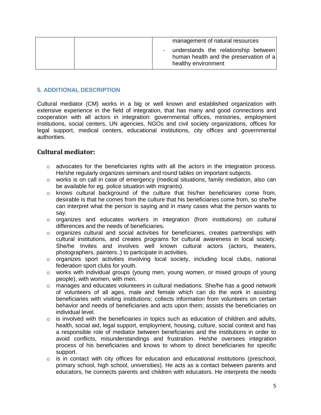| management of natural resources                                                                       |
|-------------------------------------------------------------------------------------------------------|
| understands the relationship between<br>human health and the preservation of a<br>healthy environment |

#### **5. ADDITIONAL DESCRIPTION**

Cultural mediator (CM) works in a big or well known and established organization with extensive experience in the field of integration, that has many and good connections and cooperation with all actors in integration: governmental offices, ministries, employment institutions, social centers, UN agencies, NGOs and civil society organizations, offices for legal support, medical centers, educational institutions, city offices and governmental authorities.

#### **Cultural mediator:**

- $\circ$  advocates for the beneficiaries rights with all the actors in the integration process. He/she regularly organizes seminars and round tables on important subjects.
- $\circ$  works is on call in case of emergency (medical situations, family mediation, also can be available for eg. police situation with migrants).
- $\circ$  knows cultural background of the culture that his/her beneficiaries come from, desirable is that he comes from the culture that his beneficiaries come from, so she/he can interpret what the person is saying and in many cases what the person wants to say.
- $\circ$  organizes and educates workers in integration (from institutions) on cultural differences and the needs of beneficiaries.
- $\circ$  organizes cultural and social activities for beneficiaries, creates partnerships with cultural institutions, and creates programs for cultural awareness in local society. She/he Invites and involves well known cultural actors (actors, theaters, photographers, painters..) to participate in activities.
- o organizes sport activities involving local society, including local clubs, national federation sport clubs for youth.
- $\circ$  works with individual groups (young men, young women, or mixed groups of young people), with women, with men.
- $\circ$  manages and educates volunteers in cultural mediations. She/he has a good network of volunteers of all ages, male and female which can do the work in assisting beneficiaries with visiting institutions; collects information from volunteers on certain behavior and needs of beneficiaries and acts upon them; assists the beneficiaries on individual level.
- $\circ$  is involved with the beneficiaries in topics such as education of children and adults, health, social aid, legal support, employment, housing, culture, social context and has a responsible role of mediator between beneficiaries and the institutions in order to avoid conflicts, misunderstandings and frustration. He/she oversees integration process of his beneficiaries and knows to whom to direct beneficiaries for specific support.
- $\circ$  is in contact with city offices for education and educational institutions (preschool, primary school, high school, universities). He acts as a contact between parents and educators, he connects parents and children with educators. He interprets the needs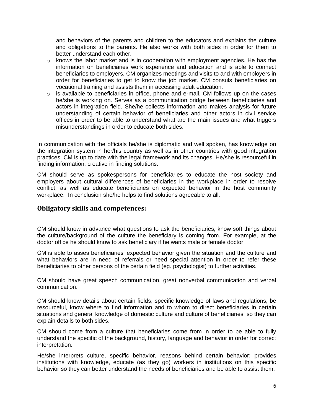and behaviors of the parents and children to the educators and explains the culture and obligations to the parents. He also works with both sides in order for them to better understand each other.

- $\circ$  knows the labor market and is in cooperation with employment agencies. He has the information on beneficiaries work experience and education and is able to connect beneficiaries to employers. CM organizes meetings and visits to and with employers in order for beneficiaries to get to know the job market. CM consuls beneficiaries on vocational training and assists them in accessing adult education.
- $\circ$  is available to beneficiaries in office, phone and e-mail. CM follows up on the cases he/she is working on. Serves as a communication bridge between beneficiaries and actors in integration field. She/he collects information and makes analysis for future understanding of certain behavior of beneficiaries and other actors in civil service offices in order to be able to understand what are the main issues and what triggers misunderstandings in order to educate both sides.

In communication with the officials he/she is diplomatic and well spoken, has knowledge on the integration system in her/his country as well as in other countries with good integration practices. CM is up to date with the legal framework and its changes. He/she is resourceful in finding information, creative in finding solutions.

CM should serve as spokespersons for beneficiaries to educate the host society and employers about cultural differences of beneficiaries in the workplace in order to resolve conflict, as well as educate beneficiaries on expected behavior in the host community workplace. In conclusion she/he helps to find solutions agreeable to all.

#### **Obligatory skills and competences:**

CM should know in advance what questions to ask the beneficiaries, know soft things about the culture/background of the culture the beneficiary is coming from. For example, at the doctor office he should know to ask beneficiary if he wants male or female doctor.

CM is able to asses beneficiaries' expected behavior given the situation and the culture and what behaviors are in need of referrals or need special attention in order to refer these beneficiaries to other persons of the certain field (eg. psychologist) to further activities.

CM should have great speech communication, great nonverbal communication and verbal communication.

CM should know details about certain fields, specific knowledge of laws and regulations, be resourceful, know where to find information and to whom to direct beneficiaries in certain situations and general knowledge of domestic culture and culture of beneficiaries so they can explain details to both sides.

CM should come from a culture that beneficiaries come from in order to be able to fully understand the specific of the background, history, language and behavior in order for correct interpretation.

He/she interprets culture, specific behavior, reasons behind certain behavior; provides institutions with knowledge, educate (as they go) workers in institutions on this specific behavior so they can better understand the needs of beneficiaries and be able to assist them.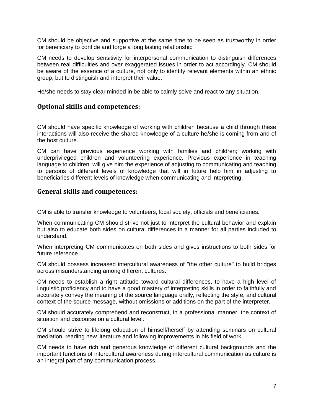CM should be objective and supportive at the same time to be seen as trustworthy in order for beneficiary to confide and forge a long lasting relationship

CM needs to develop sensitivity for interpersonal communication to distinguish differences between real difficulties and over exaggerated issues in order to act accordingly. CM should be aware of the essence of a culture, not only to identify relevant elements within an ethnic group, but to distinguish and interpret their value.

He/she needs to stay clear minded in be able to calmly solve and react to any situation.

#### **Optional skills and competences:**

CM should have specific knowledge of working with children because a child through these interactions will also receive the shared knowledge of a culture he/she is coming from and of the host culture.

CM can have previous experience working with families and children; working with underprivileged children and volunteering experience. Previous experience in teaching language to children, will give him the experience of adjusting to communicating and teaching to persons of different levels of knowledge that will in future help him in adjusting to beneficiaries different levels of knowledge when communicating and interpreting.

#### **General skills and competences:**

CM is able to transfer knowledge to volunteers, local society, officials and beneficiaries.

When communicating CM should strive not just to interpret the cultural behavior and explain but also to educate both sides on cultural differences in a manner for all parties included to understand.

When interpreting CM communicates on both sides and gives instructions to both sides for future reference.

CM should possess increased intercultural awareness of "the other culture" to build bridges across misunderstanding among different cultures.

CM needs to establish a right attitude toward cultural differences, to have a high level of linguistic proficiency and to have a good mastery of interpreting skills in order to faithfully and accurately convey the meaning of the source language orally, reflecting the style, and cultural context of the source message, without omissions or additions on the part of the interpreter.

CM should accurately comprehend and reconstruct, in a professional manner, the context of situation and discourse on a cultural level.

CM should strive to lifelong education of himself/herself by attending seminars on cultural mediation, reading new literature and following improvements in his field of work.

CM needs to have rich and generous knowledge of different cultural backgrounds and the important functions of intercultural awareness during intercultural communication as culture is an integral part of any communication process.